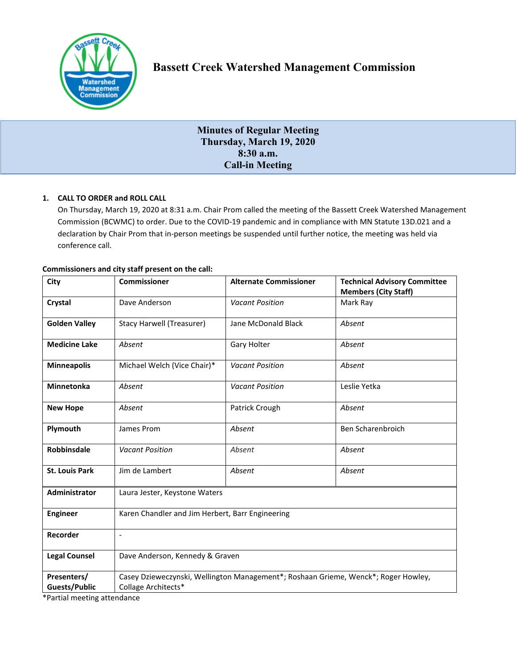

# **Minutes of Regular Meeting Thursday, March 19, 2020 8:30 a.m. Call-in Meeting**

# **1. CALL TO ORDER and ROLL CALL**

On Thursday, March 19, 2020 at 8:31 a.m. Chair Prom called the meeting of the Bassett Creek Watershed Management Commission (BCWMC) to order. Due to the COVID-19 pandemic and in compliance with MN Statute 13D.021 and a declaration by Chair Prom that in-person meetings be suspended until further notice, the meeting was held via conference call.

| City                                | <b>Commissioner</b>                                                                                       | <b>Alternate Commissioner</b> | <b>Technical Advisory Committee</b><br><b>Members (City Staff)</b> |
|-------------------------------------|-----------------------------------------------------------------------------------------------------------|-------------------------------|--------------------------------------------------------------------|
| Crystal                             | Dave Anderson                                                                                             | <b>Vacant Position</b>        | Mark Ray                                                           |
| <b>Golden Valley</b>                | <b>Stacy Harwell (Treasurer)</b>                                                                          | Jane McDonald Black           | Absent                                                             |
| <b>Medicine Lake</b>                | Absent                                                                                                    | Gary Holter                   | Absent                                                             |
| <b>Minneapolis</b>                  | Michael Welch (Vice Chair)*                                                                               | <b>Vacant Position</b>        | Absent                                                             |
| <b>Minnetonka</b>                   | Absent                                                                                                    | <b>Vacant Position</b>        | Leslie Yetka                                                       |
| <b>New Hope</b>                     | Absent                                                                                                    | Patrick Crough                | Absent                                                             |
| Plymouth                            | James Prom                                                                                                | Absent                        | Ben Scharenbroich                                                  |
| <b>Robbinsdale</b>                  | <b>Vacant Position</b>                                                                                    | Absent                        | Absent                                                             |
| <b>St. Louis Park</b>               | Jim de Lambert                                                                                            | Absent                        | Absent                                                             |
| Administrator                       | Laura Jester, Keystone Waters                                                                             |                               |                                                                    |
| <b>Engineer</b>                     | Karen Chandler and Jim Herbert, Barr Engineering                                                          |                               |                                                                    |
| Recorder                            | $\blacksquare$                                                                                            |                               |                                                                    |
| <b>Legal Counsel</b>                | Dave Anderson, Kennedy & Graven                                                                           |                               |                                                                    |
| Presenters/<br><b>Guests/Public</b> | Casey Dzieweczynski, Wellington Management*; Roshaan Grieme, Wenck*; Roger Howley,<br>Collage Architects* |                               |                                                                    |
|                                     |                                                                                                           |                               |                                                                    |

# **Commissioners and city staff present on the call:**

\*Partial meeting attendance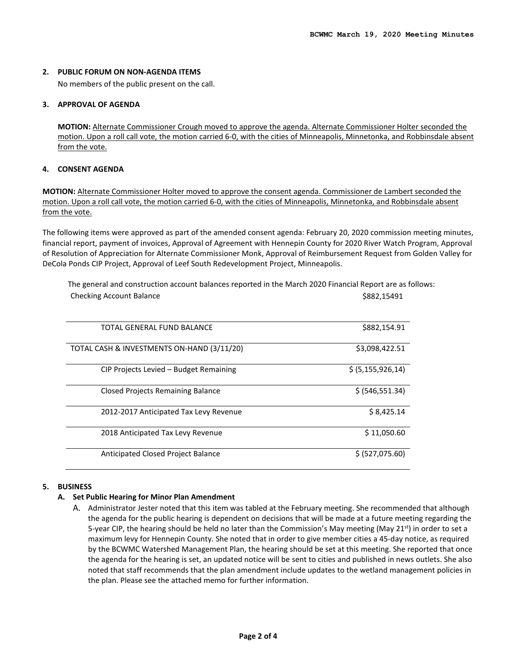#### **2. PUBLIC FORUM ON NON-AGENDA ITEMS**

No members of the public present on the call.

## **3. APPROVAL OF AGENDA**

**MOTION:** Alternate Commissioner Crough moved to approve the agenda. Alternate Commissioner Holter seconded the motion. Upon a roll call vote, the motion carried 6-0, with the cities of Minneapolis, Minnetonka, and Robbinsdale absent from the vote.

## **4. CONSENT AGENDA**

**MOTION:** Alternate Commissioner Holter moved to approve the consent agenda. Commissioner de Lambert seconded the motion. Upon a roll call vote, the motion carried 6-0, with the cities of Minneapolis, Minnetonka, and Robbinsdale absent from the vote.

The following items were approved as part of the amended consent agenda: February 20, 2020 commission meeting minutes, financial report, payment of invoices, Approval of Agreement with Hennepin County for 2020 River Watch Program, Approval of Resolution of Appreciation for Alternate Commissioner Monk, Approval of Reimbursement Request from Golden Valley for DeCola Ponds CIP Project, Approval of Leef South Redevelopment Project, Minneapolis.

The general and construction account balances reported in the March 2020 Financial Report are as follows: Checking Account Balance **\$882,15491**  $\sim$ 

| TOTAL GENERAL FUND BALANCE                 | \$882,154.91         |
|--------------------------------------------|----------------------|
| TOTAL CASH & INVESTMENTS ON-HAND (3/11/20) | \$3,098,422.51       |
| CIP Projects Levied - Budget Remaining     | \$ (5, 155, 926, 14) |
| <b>Closed Projects Remaining Balance</b>   | \$ (546, 551.34)     |
| 2012-2017 Anticipated Tax Levy Revenue     | \$8,425.14           |
| 2018 Anticipated Tax Levy Revenue          | \$11,050.60          |
| Anticipated Closed Project Balance         | \$ (527,075.60)      |

#### **5. BUSINESS**

# **A. Set Public Hearing for Minor Plan Amendment**

A. Administrator Jester noted that this item was tabled at the February meeting. She recommended that although the agenda for the public hearing is dependent on decisions that will be made at a future meeting regarding the 5-year CIP, the hearing should be held no later than the Commission's May meeting (May 21<sup>st</sup>) in order to set a maximum levy for Hennepin County. She noted that in order to give member cities a 45-day notice, as required by the BCWMC Watershed Management Plan, the hearing should be set at this meeting. She reported that once the agenda for the hearing is set, an updated notice will be sent to cities and published in news outlets. She also noted that staff recommends that the plan amendment include updates to the wetland management policies in the plan. Please see the attached memo for further information.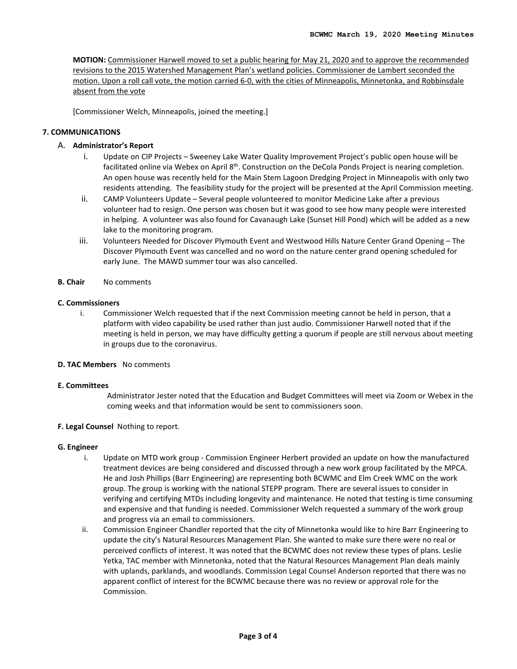**MOTION:** Commissioner Harwell moved to set a public hearing for May 21, 2020 and to approve the recommended revisions to the 2015 Watershed Management Plan's wetland policies. Commissioner de Lambert seconded the motion. Upon a roll call vote, the motion carried 6-0, with the cities of Minneapolis, Minnetonka, and Robbinsdale absent from the vote

[Commissioner Welch, Minneapolis, joined the meeting.]

# **7. COMMUNICATIONS**

## A. **Administrator's Report**

- i. Update on CIP Projects Sweeney Lake Water Quality Improvement Project's public open house will be facilitated online via Webex on April 8<sup>th</sup>. Construction on the DeCola Ponds Project is nearing completion. An open house was recently held for the Main Stem Lagoon Dredging Project in Minneapolis with only two residents attending. The feasibility study for the project will be presented at the April Commission meeting.
- ii. CAMP Volunteers Update Several people volunteered to monitor Medicine Lake after a previous volunteer had to resign. One person was chosen but it was good to see how many people were interested in helping. A volunteer was also found for Cavanaugh Lake (Sunset Hill Pond) which will be added as a new lake to the monitoring program.
- iii. Volunteers Needed for Discover Plymouth Event and Westwood Hills Nature Center Grand Opening The Discover Plymouth Event was cancelled and no word on the nature center grand opening scheduled for early June. The MAWD summer tour was also cancelled.
- **B. Chair** No comments

#### **C. Commissioners**

i. Commissioner Welch requested that if the next Commission meeting cannot be held in person, that a platform with video capability be used rather than just audio. Commissioner Harwell noted that if the meeting is held in person, we may have difficulty getting a quorum if people are still nervous about meeting in groups due to the coronavirus.

#### **D. TAC Members** No comments

#### **E. Committees**

Administrator Jester noted that the Education and Budget Committees will meet via Zoom or Webex in the coming weeks and that information would be sent to commissioners soon.

#### **F. Legal Counsel** Nothing to report.

#### **G. Engineer**

- i. Update on MTD work group Commission Engineer Herbert provided an update on how the manufactured treatment devices are being considered and discussed through a new work group facilitated by the MPCA. He and Josh Phillips (Barr Engineering) are representing both BCWMC and Elm Creek WMC on the work group. The group is working with the national STEPP program. There are several issues to consider in verifying and certifying MTDs including longevity and maintenance. He noted that testing is time consuming and expensive and that funding is needed. Commissioner Welch requested a summary of the work group and progress via an email to commissioners.
- ii. Commission Engineer Chandler reported that the city of Minnetonka would like to hire Barr Engineering to update the city's Natural Resources Management Plan. She wanted to make sure there were no real or perceived conflicts of interest. It was noted that the BCWMC does not review these types of plans. Leslie Yetka, TAC member with Minnetonka, noted that the Natural Resources Management Plan deals mainly with uplands, parklands, and woodlands. Commission Legal Counsel Anderson reported that there was no apparent conflict of interest for the BCWMC because there was no review or approval role for the Commission.